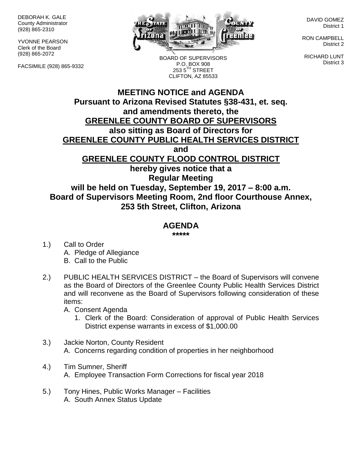DEBORAH K. GALE County Administrator (928) 865-2310

YVONNE PEARSON Clerk of the Board (928) 865-2072

FACSIMILE (928) 865-9332



BOARD OF SUPERVISORS P.O. BOX 908 253 5TH STREET CLIFTON, AZ 85533

DAVID GOMEZ District 1

RON CAMPBELL District 2

RICHARD LUNT District 3

## **MEETING NOTICE and AGENDA Pursuant to Arizona Revised Statutes §38-431, et. seq. and amendments thereto, the GREENLEE COUNTY BOARD OF SUPERVISORS also sitting as Board of Directors for GREENLEE COUNTY PUBLIC HEALTH SERVICES DISTRICT and GREENLEE COUNTY FLOOD CONTROL DISTRICT hereby gives notice that a Regular Meeting will be held on Tuesday, September 19, 2017 – 8:00 a.m. Board of Supervisors Meeting Room, 2nd floor Courthouse Annex, 253 5th Street, Clifton, Arizona**

## **AGENDA**

**\*\*\*\*\***

- 1.) Call to Order A. Pledge of Allegiance B. Call to the Public
- 2.) PUBLIC HEALTH SERVICES DISTRICT the Board of Supervisors will convene as the Board of Directors of the Greenlee County Public Health Services District and will reconvene as the Board of Supervisors following consideration of these items:
	- A. Consent Agenda
		- 1. Clerk of the Board: Consideration of approval of Public Health Services District expense warrants in excess of \$1,000.00
- 3.) Jackie Norton, County Resident A. Concerns regarding condition of properties in her neighborhood
- 4.) Tim Sumner, Sheriff A. Employee Transaction Form Corrections for fiscal year 2018
- 5.) Tony Hines, Public Works Manager Facilities A. South Annex Status Update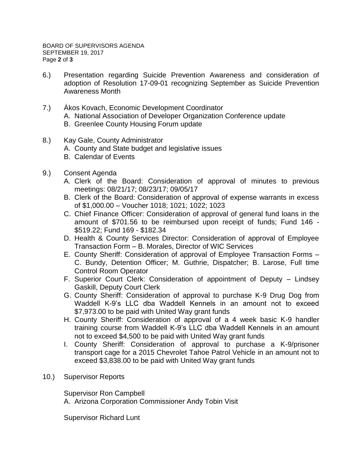- 6.) Presentation regarding Suicide Prevention Awareness and consideration of adoption of Resolution 17-09-01 recognizing September as Suicide Prevention Awareness Month
- 7.) Ákos Kovach, Economic Development Coordinator A. National Association of Developer Organization Conference update B. Greenlee County Housing Forum update
- 8.) Kay Gale, County Administrator
	- A. County and State budget and legislative issues
	- B. Calendar of Events
- 9.) Consent Agenda
	- A. Clerk of the Board: Consideration of approval of minutes to previous meetings: 08/21/17; 08/23/17; 09/05/17
	- B. Clerk of the Board: Consideration of approval of expense warrants in excess of \$1,000.00 – Voucher 1018; 1021; 1022; 1023
	- C. Chief Finance Officer: Consideration of approval of general fund loans in the amount of \$701.56 to be reimbursed upon receipt of funds; Fund 146 - \$519.22; Fund 169 - \$182.34
	- D. Health & County Services Director: Consideration of approval of Employee Transaction Form – B. Morales, Director of WIC Services
	- E. County Sheriff: Consideration of approval of Employee Transaction Forms C. Bundy, Detention Officer; M. Guthrie, Dispatcher; B. Larose, Full time Control Room Operator
	- F. Superior Court Clerk: Consideration of appointment of Deputy Lindsey Gaskill, Deputy Court Clerk
	- G. County Sheriff: Consideration of approval to purchase K-9 Drug Dog from Waddell K-9's LLC dba Waddell Kennels in an amount not to exceed \$7,973.00 to be paid with United Way grant funds
	- H. County Sheriff: Consideration of approval of a 4 week basic K-9 handler training course from Waddell K-9's LLC dba Waddell Kennels in an amount not to exceed \$4,500 to be paid with United Way grant funds
	- I. County Sheriff: Consideration of approval to purchase a K-9/prisoner transport cage for a 2015 Chevrolet Tahoe Patrol Vehicle in an amount not to exceed \$3,838.00 to be paid with United Way grant funds
- 10.) Supervisor Reports

Supervisor Ron Campbell

A. Arizona Corporation Commissioner Andy Tobin Visit

Supervisor Richard Lunt